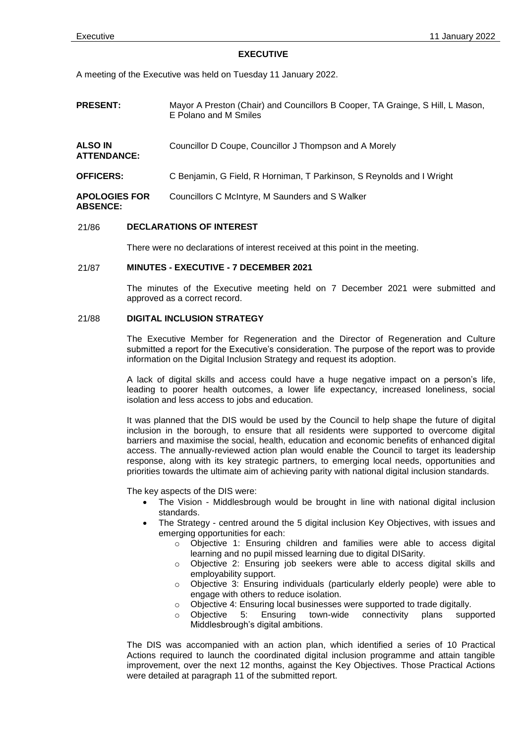### **EXECUTIVE**

A meeting of the Executive was held on Tuesday 11 January 2022.

- **PRESENT:** Mayor A Preston (Chair) and Councillors B Cooper, TA Grainge, S Hill, L Mason, E Polano and M Smiles
- **ALSO IN**  Councillor D Coupe, Councillor J Thompson and A Morely

**ATTENDANCE:**

- **OFFICERS:** C Benjamin, G Field, R Horniman, T Parkinson, S Reynolds and I Wright
- **APOLOGIES FOR ABSENCE:** Councillors C McIntyre, M Saunders and S Walker

## 21/86 **DECLARATIONS OF INTEREST**

There were no declarations of interest received at this point in the meeting.

# 21/87 **MINUTES - EXECUTIVE - 7 DECEMBER 2021**

The minutes of the Executive meeting held on 7 December 2021 were submitted and approved as a correct record.

# 21/88 **DIGITAL INCLUSION STRATEGY**

The Executive Member for Regeneration and the Director of Regeneration and Culture submitted a report for the Executive's consideration. The purpose of the report was to provide information on the Digital Inclusion Strategy and request its adoption.

A lack of digital skills and access could have a huge negative impact on a person's life, leading to poorer health outcomes, a lower life expectancy, increased loneliness, social isolation and less access to jobs and education.

It was planned that the DIS would be used by the Council to help shape the future of digital inclusion in the borough, to ensure that all residents were supported to overcome digital barriers and maximise the social, health, education and economic benefits of enhanced digital access. The annually-reviewed action plan would enable the Council to target its leadership response, along with its key strategic partners, to emerging local needs, opportunities and priorities towards the ultimate aim of achieving parity with national digital inclusion standards.

The key aspects of the DIS were:

- The Vision Middlesbrough would be brought in line with national digital inclusion standards.
- The Strategy centred around the 5 digital inclusion Key Objectives, with issues and emerging opportunities for each:
	- Objective 1: Ensuring children and families were able to access digital learning and no pupil missed learning due to digital DISarity.
	- o Objective 2: Ensuring job seekers were able to access digital skills and employability support.
	- o Objective 3: Ensuring individuals (particularly elderly people) were able to engage with others to reduce isolation.
	- $\circ$  Objective 4: Ensuring local businesses were supported to trade digitally.
	- o Objective 5: Ensuring town-wide connectivity plans supported Middlesbrough's digital ambitions.

The DIS was accompanied with an action plan, which identified a series of 10 Practical Actions required to launch the coordinated digital inclusion programme and attain tangible improvement, over the next 12 months, against the Key Objectives. Those Practical Actions were detailed at paragraph 11 of the submitted report.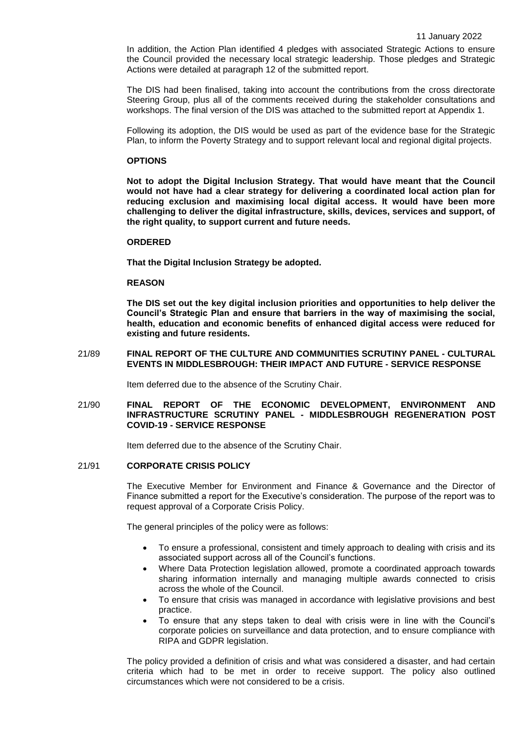In addition, the Action Plan identified 4 pledges with associated Strategic Actions to ensure the Council provided the necessary local strategic leadership. Those pledges and Strategic Actions were detailed at paragraph 12 of the submitted report.

The DIS had been finalised, taking into account the contributions from the cross directorate Steering Group, plus all of the comments received during the stakeholder consultations and workshops. The final version of the DIS was attached to the submitted report at Appendix 1.

Following its adoption, the DIS would be used as part of the evidence base for the Strategic Plan, to inform the Poverty Strategy and to support relevant local and regional digital projects.

## **OPTIONS**

**Not to adopt the Digital Inclusion Strategy. That would have meant that the Council would not have had a clear strategy for delivering a coordinated local action plan for reducing exclusion and maximising local digital access. It would have been more challenging to deliver the digital infrastructure, skills, devices, services and support, of the right quality, to support current and future needs.**

### **ORDERED**

**That the Digital Inclusion Strategy be adopted.** 

## **REASON**

**The DIS set out the key digital inclusion priorities and opportunities to help deliver the Council's Strategic Plan and ensure that barriers in the way of maximising the social, health, education and economic benefits of enhanced digital access were reduced for existing and future residents.**

# 21/89 **FINAL REPORT OF THE CULTURE AND COMMUNITIES SCRUTINY PANEL - CULTURAL EVENTS IN MIDDLESBROUGH: THEIR IMPACT AND FUTURE - SERVICE RESPONSE**

Item deferred due to the absence of the Scrutiny Chair.

## 21/90 **FINAL REPORT OF THE ECONOMIC DEVELOPMENT, ENVIRONMENT AND INFRASTRUCTURE SCRUTINY PANEL - MIDDLESBROUGH REGENERATION POST COVID-19 - SERVICE RESPONSE**

Item deferred due to the absence of the Scrutiny Chair.

### 21/91 **CORPORATE CRISIS POLICY**

The Executive Member for Environment and Finance & Governance and the Director of Finance submitted a report for the Executive's consideration. The purpose of the report was to request approval of a Corporate Crisis Policy.

The general principles of the policy were as follows:

- To ensure a professional, consistent and timely approach to dealing with crisis and its associated support across all of the Council's functions.
- Where Data Protection legislation allowed, promote a coordinated approach towards sharing information internally and managing multiple awards connected to crisis across the whole of the Council.
- To ensure that crisis was managed in accordance with legislative provisions and best practice.
- To ensure that any steps taken to deal with crisis were in line with the Council's corporate policies on surveillance and data protection, and to ensure compliance with RIPA and GDPR legislation.

The policy provided a definition of crisis and what was considered a disaster, and had certain criteria which had to be met in order to receive support. The policy also outlined circumstances which were not considered to be a crisis.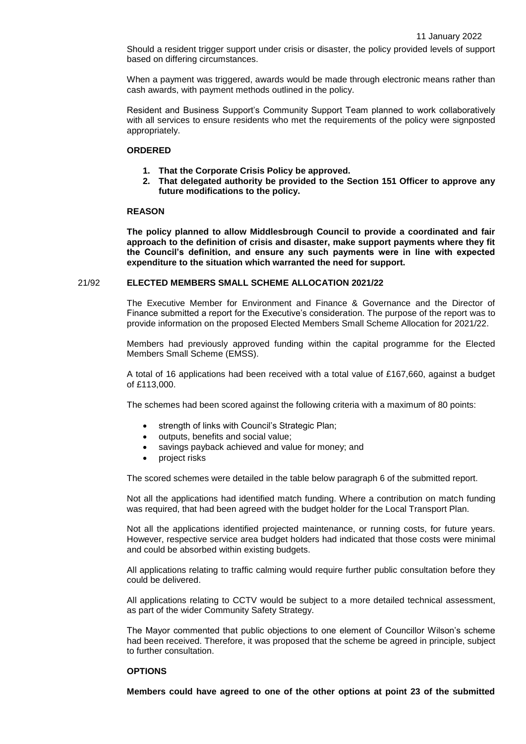Should a resident trigger support under crisis or disaster, the policy provided levels of support based on differing circumstances.

When a payment was triggered, awards would be made through electronic means rather than cash awards, with payment methods outlined in the policy.

Resident and Business Support's Community Support Team planned to work collaboratively with all services to ensure residents who met the requirements of the policy were signposted appropriately.

# **ORDERED**

- **1. That the Corporate Crisis Policy be approved.**
- **2. That delegated authority be provided to the Section 151 Officer to approve any future modifications to the policy.**

### **REASON**

**The policy planned to allow Middlesbrough Council to provide a coordinated and fair approach to the definition of crisis and disaster, make support payments where they fit the Council's definition, and ensure any such payments were in line with expected expenditure to the situation which warranted the need for support.**

## 21/92 **ELECTED MEMBERS SMALL SCHEME ALLOCATION 2021/22**

The Executive Member for Environment and Finance & Governance and the Director of Finance submitted a report for the Executive's consideration. The purpose of the report was to provide information on the proposed Elected Members Small Scheme Allocation for 2021/22.

Members had previously approved funding within the capital programme for the Elected Members Small Scheme (EMSS).

A total of 16 applications had been received with a total value of £167,660, against a budget of £113,000.

The schemes had been scored against the following criteria with a maximum of 80 points:

- strength of links with Council's Strategic Plan;
- outputs, benefits and social value;
- savings payback achieved and value for money; and
- project risks

The scored schemes were detailed in the table below paragraph 6 of the submitted report.

Not all the applications had identified match funding. Where a contribution on match funding was required, that had been agreed with the budget holder for the Local Transport Plan.

Not all the applications identified projected maintenance, or running costs, for future years. However, respective service area budget holders had indicated that those costs were minimal and could be absorbed within existing budgets.

All applications relating to traffic calming would require further public consultation before they could be delivered.

All applications relating to CCTV would be subject to a more detailed technical assessment, as part of the wider Community Safety Strategy.

The Mayor commented that public objections to one element of Councillor Wilson's scheme had been received. Therefore, it was proposed that the scheme be agreed in principle, subject to further consultation.

# **OPTIONS**

**Members could have agreed to one of the other options at point 23 of the submitted**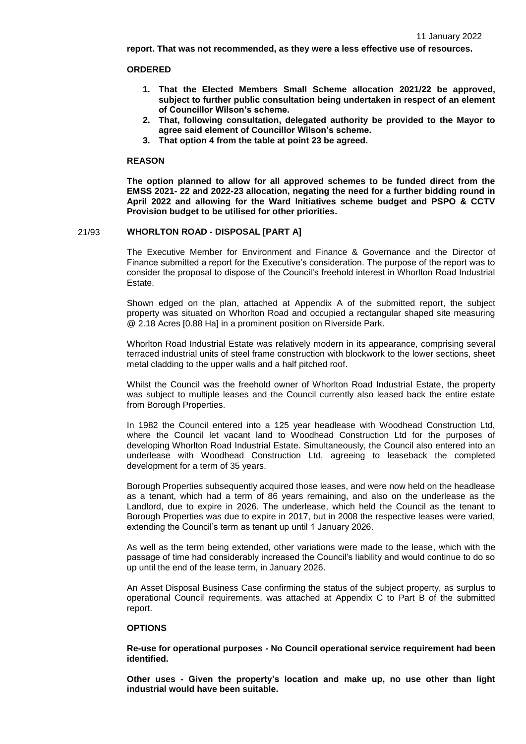**report. That was not recommended, as they were a less effective use of resources.**

## **ORDERED**

- **1. That the Elected Members Small Scheme allocation 2021/22 be approved, subject to further public consultation being undertaken in respect of an element of Councillor Wilson's scheme.**
- **2. That, following consultation, delegated authority be provided to the Mayor to agree said element of Councillor Wilson's scheme.**
- **3. That option 4 from the table at point 23 be agreed.**

### **REASON**

**The option planned to allow for all approved schemes to be funded direct from the EMSS 2021- 22 and 2022-23 allocation, negating the need for a further bidding round in April 2022 and allowing for the Ward Initiatives scheme budget and PSPO & CCTV Provision budget to be utilised for other priorities.**

# 21/93 **WHORLTON ROAD - DISPOSAL [PART A]**

The Executive Member for Environment and Finance & Governance and the Director of Finance submitted a report for the Executive's consideration. The purpose of the report was to consider the proposal to dispose of the Council's freehold interest in Whorlton Road Industrial Estate.

Shown edged on the plan, attached at Appendix A of the submitted report, the subject property was situated on Whorlton Road and occupied a rectangular shaped site measuring @ 2.18 Acres [0.88 Ha] in a prominent position on Riverside Park.

Whorlton Road Industrial Estate was relatively modern in its appearance, comprising several terraced industrial units of steel frame construction with blockwork to the lower sections, sheet metal cladding to the upper walls and a half pitched roof.

Whilst the Council was the freehold owner of Whorlton Road Industrial Estate, the property was subject to multiple leases and the Council currently also leased back the entire estate from Borough Properties.

In 1982 the Council entered into a 125 year headlease with Woodhead Construction Ltd, where the Council let vacant land to Woodhead Construction Ltd for the purposes of developing Whorlton Road Industrial Estate. Simultaneously, the Council also entered into an underlease with Woodhead Construction Ltd, agreeing to leaseback the completed development for a term of 35 years.

Borough Properties subsequently acquired those leases, and were now held on the headlease as a tenant, which had a term of 86 years remaining, and also on the underlease as the Landlord, due to expire in 2026. The underlease, which held the Council as the tenant to Borough Properties was due to expire in 2017, but in 2008 the respective leases were varied, extending the Council's term as tenant up until 1 January 2026.

As well as the term being extended, other variations were made to the lease, which with the passage of time had considerably increased the Council's liability and would continue to do so up until the end of the lease term, in January 2026.

An Asset Disposal Business Case confirming the status of the subject property, as surplus to operational Council requirements, was attached at Appendix C to Part B of the submitted report.

## **OPTIONS**

**Re-use for operational purposes - No Council operational service requirement had been identified.** 

**Other uses - Given the property's location and make up, no use other than light industrial would have been suitable.**